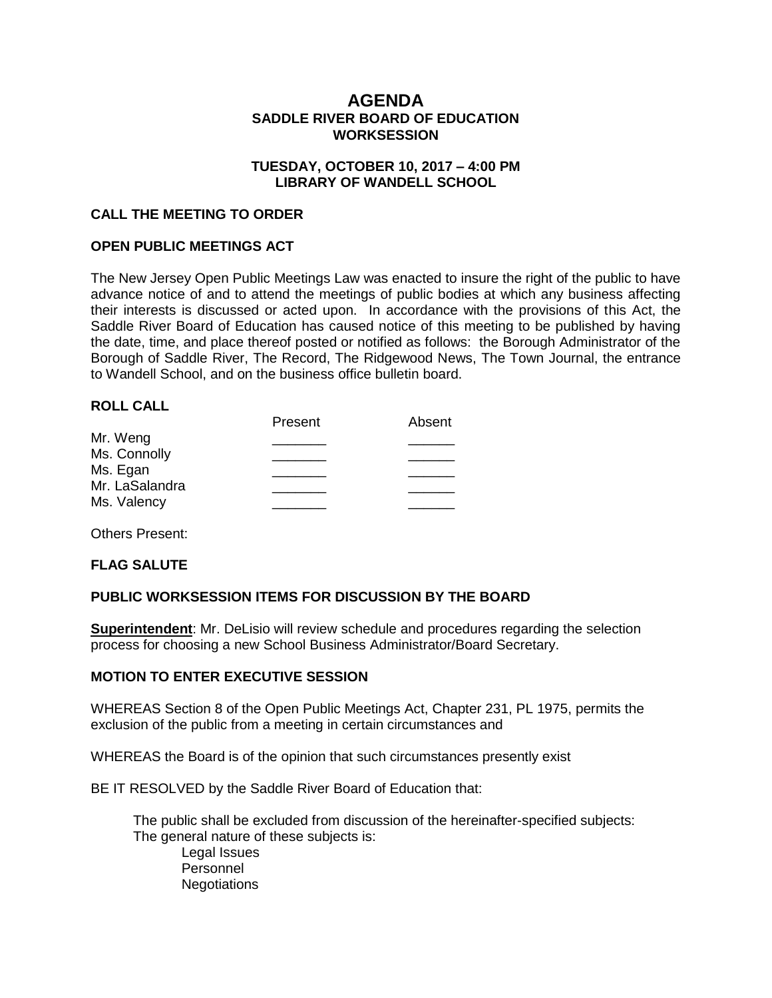# **AGENDA SADDLE RIVER BOARD OF EDUCATION WORKSESSION**

### **TUESDAY, OCTOBER 10, 2017 – 4:00 PM LIBRARY OF WANDELL SCHOOL**

### **CALL THE MEETING TO ORDER**

### **OPEN PUBLIC MEETINGS ACT**

The New Jersey Open Public Meetings Law was enacted to insure the right of the public to have advance notice of and to attend the meetings of public bodies at which any business affecting their interests is discussed or acted upon. In accordance with the provisions of this Act, the Saddle River Board of Education has caused notice of this meeting to be published by having the date, time, and place thereof posted or notified as follows: the Borough Administrator of the Borough of Saddle River, The Record, The Ridgewood News, The Town Journal, the entrance to Wandell School, and on the business office bulletin board.

### **ROLL CALL**

|                | Present | Absent |
|----------------|---------|--------|
| Mr. Weng       |         |        |
| Ms. Connolly   |         |        |
| Ms. Egan       |         |        |
| Mr. LaSalandra |         |        |
|                |         |        |
| Ms. Valency    |         |        |

Others Present:

### **FLAG SALUTE**

## **PUBLIC WORKSESSION ITEMS FOR DISCUSSION BY THE BOARD**

**Superintendent**: Mr. DeLisio will review schedule and procedures regarding the selection process for choosing a new School Business Administrator/Board Secretary.

### **MOTION TO ENTER EXECUTIVE SESSION**

WHEREAS Section 8 of the Open Public Meetings Act, Chapter 231, PL 1975, permits the exclusion of the public from a meeting in certain circumstances and

WHEREAS the Board is of the opinion that such circumstances presently exist

BE IT RESOLVED by the Saddle River Board of Education that:

 The public shall be excluded from discussion of the hereinafter-specified subjects: The general nature of these subjects is: Legal Issues

Personnel **Negotiations**